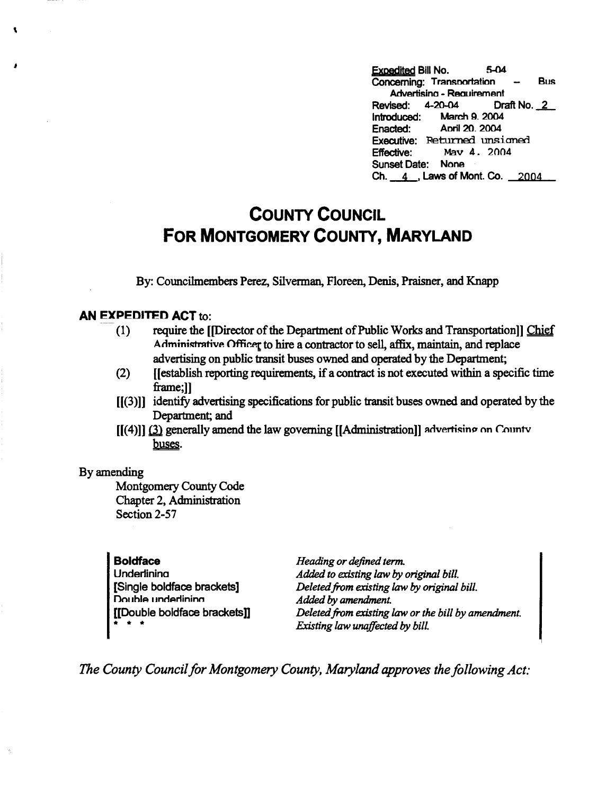' **Expedited Bill** No. 5-04 Concerning: Transportation - Bus Advertisino - Reauirement Revised: 4-20-04 Draft No . *.L*  Introduced: March 9. 2004 Anril 20, 2004 Executive: Returned unsigned<br>Effective: May 4. 2004 Mav 4. 2004 Sunset Date: None Ch.  $\_\_4$ , Laws of Mont. Co.  $\_\_2004$ 

## **COUNTY COUNCIL FOR MONTGOMERY COUNTY, MARYLAND**

By: Councilmembers Perez, Silverman, Floreen, Denis, Praisner, and Knapp

## **AN EXPEDITED ACT to:**

- (1) require the [[Director of the Department of Public Works and Transportation]] Chief Administrative Officer to hire a contractor to sell, affix, maintain, and replace advertising on public transit buses owned and operated by the Department;
- (2) [[establish reporting requirements, if a contract is not executed within a specific time frame;]]
- [[(3)]] identify advertising specifications for public transit buses owned and operated by the Department; and
- $[[(4)]]$  (3) generally amend the law governing  $[[Administration]]$  advertising on Countv buses.

## By amending

 $\ddot{\phantom{0}}$ 

Montgomery County Code Chapter 2, Administration Section 2-57

**Boldface**  Underlinina [Single boldface brackets] Double underlining [[Double boldface brackets]] \* \* \*

*Heading or defined term. Added to existing law* by *original bill. Deleted from existing law* by *original bill. Added* by *amendment. Deleted from existing law or the bill by amendment. Existing law unaffected* by *bill.* 

*The County Council for Montgomery County, Maryland approves the following Act:*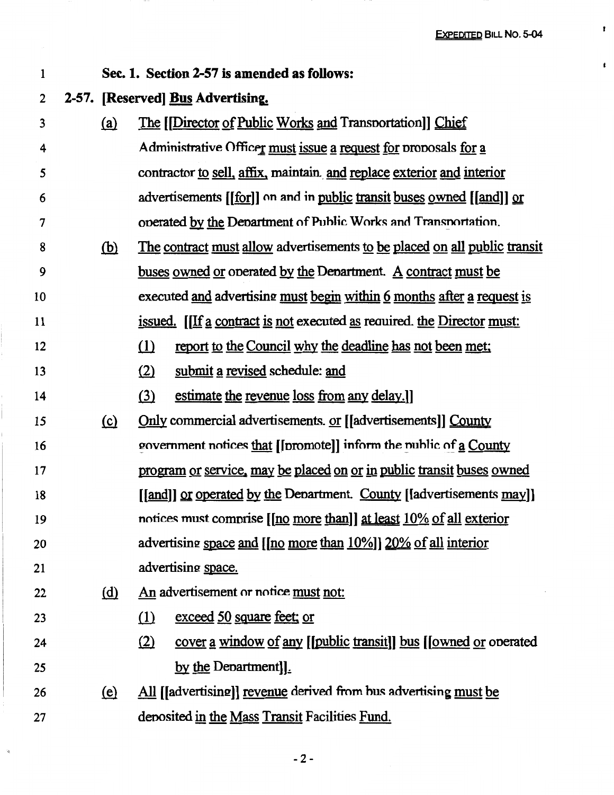$\pmb{\mathfrak{r}}$ 

 $\mathbf{r}$ 

|            | Sec. 1. Section 2-57 is amended as follows:                                 |
|------------|-----------------------------------------------------------------------------|
|            | 2-57. [Reserved] Bus Advertising.                                           |
| <u>(a)</u> | The [[Director of Public Works and Transportation]] Chief                   |
|            | Administrative Officer must issue a request for proposals for a             |
|            | contractor to sell, affix, maintain and replace exterior and interior       |
|            | advertisements [[for]] on and in public transit buses owned [[and]] or      |
|            | operated by the Department of Public Works and Transportation.              |
| <u>(b)</u> | The contract must allow advertisements to be placed on all public transit   |
|            | buses owned or operated by the Department. A contract must be               |
|            | executed and advertising must begin within 6 months after a request is      |
|            | issued. [If a contract is not executed as required. the Director must:      |
|            | $\Omega$<br>report to the Council why the deadline has not been met;        |
|            | (2)<br>submit a revised schedule: and                                       |
|            | (3)<br>estimate the revenue loss from any delay.]                           |
| (c)        | Only commercial advertisements. or [[advertisements]] County                |
|            | government notices that [[promote]] inform the nublic of a County           |
|            | program or service, may be placed on or in public transit buses owned       |
|            | <u>[[and]] or operated by the Department. County</u> [[advertisements may]] |
|            | notices must comprise [[no more than]] at least 10% of all exterior         |
|            | advertising space and [[no more than 10%]] 20% of all interior              |
|            | advertising space.                                                          |
| <u>(d)</u> | An advertisement or notice must not:                                        |
|            | exceed 50 square feet; or<br>$\Omega$                                       |
|            | (2)<br>cover a window of any [[public transit]] bus [[owned or operated     |
|            | by the Department].                                                         |
| <u>(e)</u> | All [[advertising]] revenue derived from bus advertising must be            |
|            | deposited in the Mass Transit Facilities Fund.                              |
|            |                                                                             |